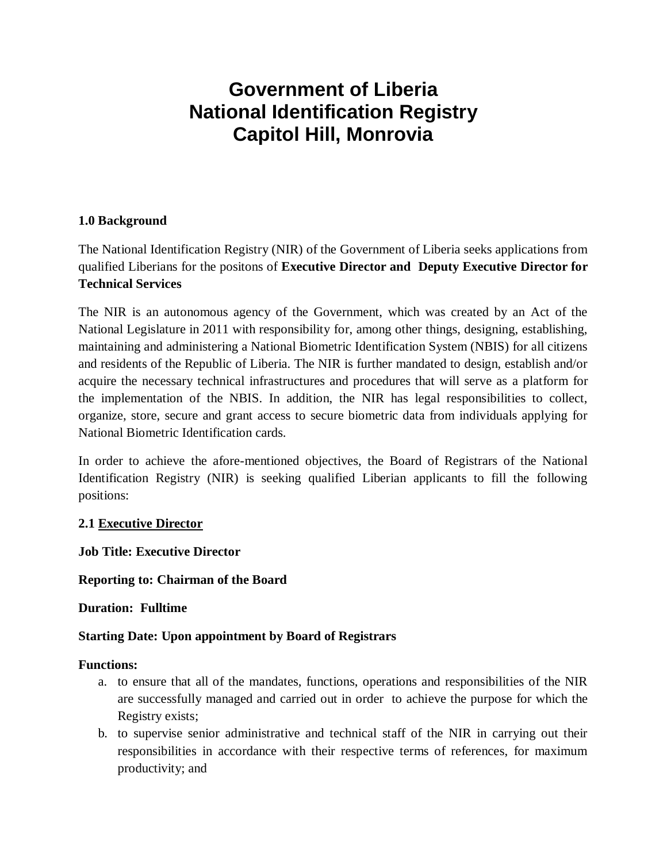# **Government of Liberia National Identification Registry Capitol Hill, Monrovia**

# **1.0 Background**

The National Identification Registry (NIR) of the Government of Liberia seeks applications from qualified Liberians for the positons of **Executive Director and Deputy Executive Director for Technical Services**

The NIR is an autonomous agency of the Government, which was created by an Act of the National Legislature in 2011 with responsibility for, among other things, designing, establishing, maintaining and administering a National Biometric Identification System (NBIS) for all citizens and residents of the Republic of Liberia. The NIR is further mandated to design, establish and/or acquire the necessary technical infrastructures and procedures that will serve as a platform for the implementation of the NBIS. In addition, the NIR has legal responsibilities to collect, organize, store, secure and grant access to secure biometric data from individuals applying for National Biometric Identification cards.

In order to achieve the afore-mentioned objectives, the Board of Registrars of the National Identification Registry (NIR) is seeking qualified Liberian applicants to fill the following positions:

#### **2.1 Executive Director**

**Job Title: Executive Director** 

**Reporting to: Chairman of the Board**

#### **Duration: Fulltime**

# **Starting Date: Upon appointment by Board of Registrars**

#### **Functions:**

- a. to ensure that all of the mandates, functions, operations and responsibilities of the NIR are successfully managed and carried out in order to achieve the purpose for which the Registry exists;
- b. to supervise senior administrative and technical staff of the NIR in carrying out their responsibilities in accordance with their respective terms of references, for maximum productivity; and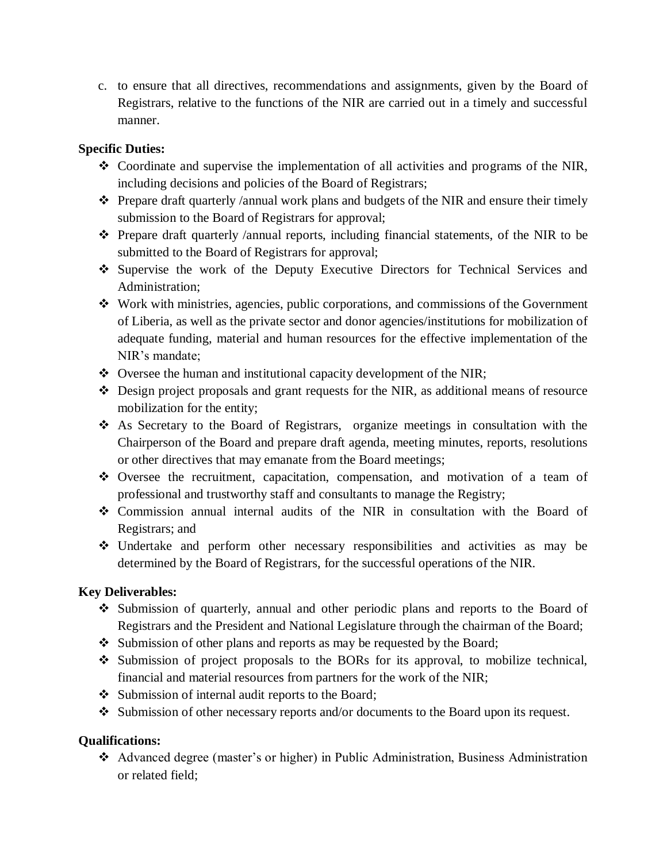c. to ensure that all directives, recommendations and assignments, given by the Board of Registrars, relative to the functions of the NIR are carried out in a timely and successful manner.

# **Specific Duties:**

- Coordinate and supervise the implementation of all activities and programs of the NIR, including decisions and policies of the Board of Registrars;
- $\hat{\mathbf{v}}$  Prepare draft quarterly /annual work plans and budgets of the NIR and ensure their timely submission to the Board of Registrars for approval;
- $\hat{\mathbf{v}}$  Prepare draft quarterly /annual reports, including financial statements, of the NIR to be submitted to the Board of Registrars for approval;
- Supervise the work of the Deputy Executive Directors for Technical Services and Administration;
- Work with ministries, agencies, public corporations, and commissions of the Government of Liberia, as well as the private sector and donor agencies/institutions for mobilization of adequate funding, material and human resources for the effective implementation of the NIR's mandate;
- Oversee the human and institutional capacity development of the NIR;
- Design project proposals and grant requests for the NIR, as additional means of resource mobilization for the entity;
- As Secretary to the Board of Registrars, organize meetings in consultation with the Chairperson of the Board and prepare draft agenda, meeting minutes, reports, resolutions or other directives that may emanate from the Board meetings;
- Oversee the recruitment, capacitation, compensation, and motivation of a team of professional and trustworthy staff and consultants to manage the Registry;
- Commission annual internal audits of the NIR in consultation with the Board of Registrars; and
- Undertake and perform other necessary responsibilities and activities as may be determined by the Board of Registrars, for the successful operations of the NIR.

# **Key Deliverables:**

- Submission of quarterly, annual and other periodic plans and reports to the Board of Registrars and the President and National Legislature through the chairman of the Board;
- Submission of other plans and reports as may be requested by the Board;
- Submission of project proposals to the BORs for its approval, to mobilize technical, financial and material resources from partners for the work of the NIR;
- Submission of internal audit reports to the Board;
- Submission of other necessary reports and/or documents to the Board upon its request.

# **Qualifications:**

 Advanced degree (master's or higher) in Public Administration, Business Administration or related field;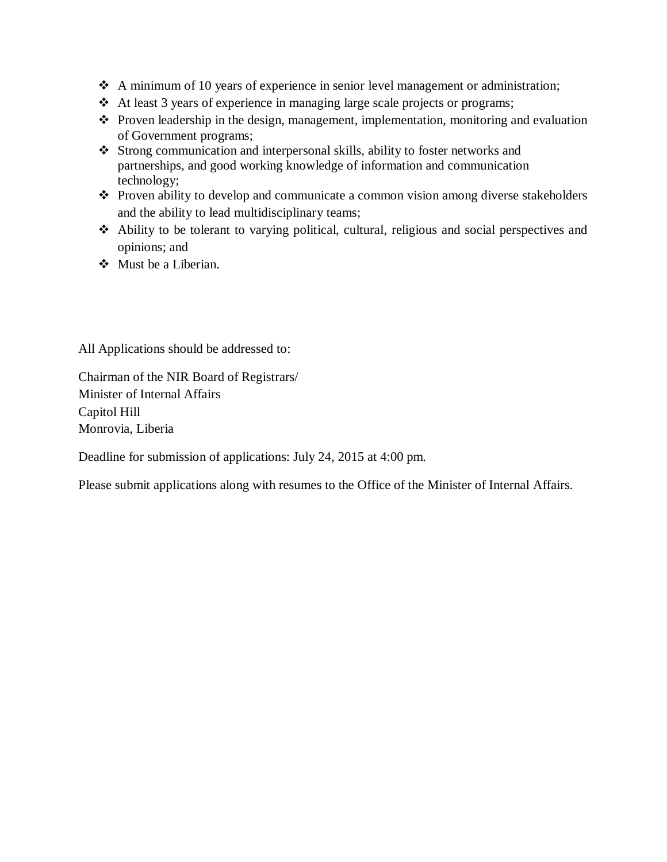- $\triangle$  A minimum of 10 years of experience in senior level management or administration;
- $\triangleleft$  At least 3 years of experience in managing large scale projects or programs;
- $\triangle$  Proven leadership in the design, management, implementation, monitoring and evaluation of Government programs;
- Strong communication and interpersonal skills, ability to foster networks and partnerships, and good working knowledge of information and communication technology;
- Proven ability to develop and communicate a common vision among diverse stakeholders and the ability to lead multidisciplinary teams;
- Ability to be tolerant to varying political, cultural, religious and social perspectives and opinions; and
- Must be a Liberian.

All Applications should be addressed to:

Chairman of the NIR Board of Registrars/ Minister of Internal Affairs Capitol Hill Monrovia, Liberia

Deadline for submission of applications: July 24, 2015 at 4:00 pm.

Please submit applications along with resumes to the Office of the Minister of Internal Affairs.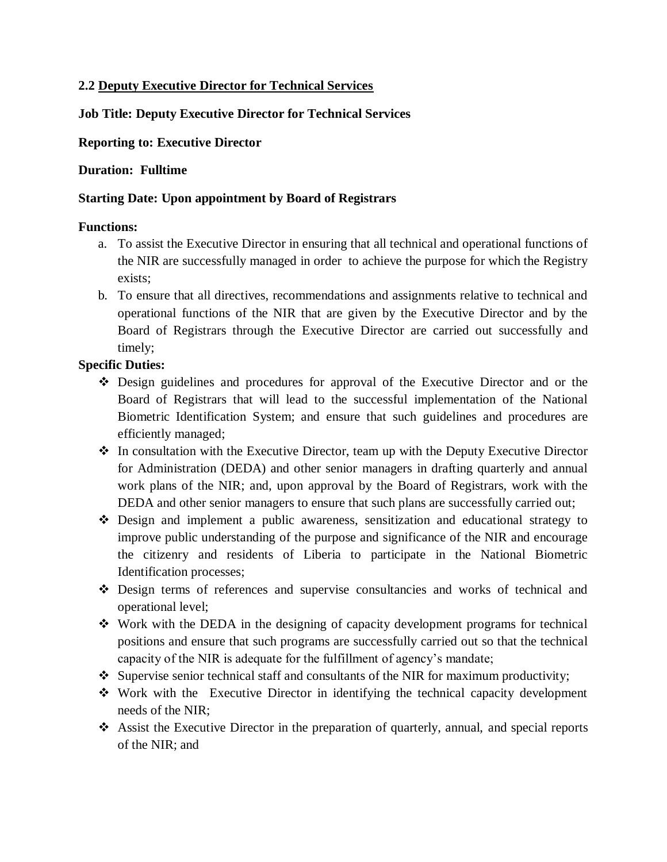#### **2.2 Deputy Executive Director for Technical Services**

## **Job Title: Deputy Executive Director for Technical Services**

#### **Reporting to: Executive Director**

#### **Duration: Fulltime**

#### **Starting Date: Upon appointment by Board of Registrars**

#### **Functions:**

- a. To assist the Executive Director in ensuring that all technical and operational functions of the NIR are successfully managed in order to achieve the purpose for which the Registry exists;
- b. To ensure that all directives, recommendations and assignments relative to technical and operational functions of the NIR that are given by the Executive Director and by the Board of Registrars through the Executive Director are carried out successfully and timely;

#### **Specific Duties:**

- Design guidelines and procedures for approval of the Executive Director and or the Board of Registrars that will lead to the successful implementation of the National Biometric Identification System; and ensure that such guidelines and procedures are efficiently managed;
- $\cdot \cdot$  In consultation with the Executive Director, team up with the Deputy Executive Director for Administration (DEDA) and other senior managers in drafting quarterly and annual work plans of the NIR; and, upon approval by the Board of Registrars, work with the DEDA and other senior managers to ensure that such plans are successfully carried out;
- Design and implement a public awareness, sensitization and educational strategy to improve public understanding of the purpose and significance of the NIR and encourage the citizenry and residents of Liberia to participate in the National Biometric Identification processes;
- Design terms of references and supervise consultancies and works of technical and operational level;
- $\div$  Work with the DEDA in the designing of capacity development programs for technical positions and ensure that such programs are successfully carried out so that the technical capacity of the NIR is adequate for the fulfillment of agency's mandate;
- $\bullet$  Supervise senior technical staff and consultants of the NIR for maximum productivity;
- Work with the Executive Director in identifying the technical capacity development needs of the NIR;
- Assist the Executive Director in the preparation of quarterly, annual, and special reports of the NIR; and